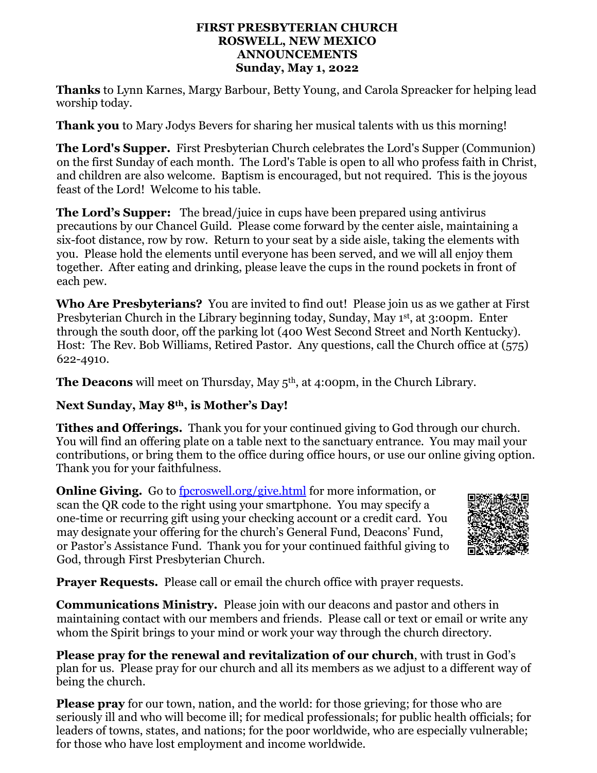#### **FIRST PRESBYTERIAN CHURCH ROSWELL, NEW MEXICO ANNOUNCEMENTS Sunday, May 1, 2022**

**Thanks** to Lynn Karnes, Margy Barbour, Betty Young, and Carola Spreacker for helping lead worship today.

**Thank you** to Mary Jodys Bevers for sharing her musical talents with us this morning!

**The Lord's Supper.** First Presbyterian Church celebrates the Lord's Supper (Communion) on the first Sunday of each month. The Lord's Table is open to all who profess faith in Christ, and children are also welcome. Baptism is encouraged, but not required. This is the joyous feast of the Lord! Welcome to his table.

**The Lord's Supper:** The bread/juice in cups have been prepared using antivirus precautions by our Chancel Guild. Please come forward by the center aisle, maintaining a six-foot distance, row by row. Return to your seat by a side aisle, taking the elements with you. Please hold the elements until everyone has been served, and we will all enjoy them together. After eating and drinking, please leave the cups in the round pockets in front of each pew.

**Who Are Presbyterians?** You are invited to find out! Please join us as we gather at First Presbyterian Church in the Library beginning today, Sunday, May 1st, at 3:00pm. Enter through the south door, off the parking lot (400 West Second Street and North Kentucky). Host: The Rev. Bob Williams, Retired Pastor. Any questions, call the Church office at (575) 622-4910.

**The Deacons** will meet on Thursday, May 5<sup>th</sup>, at 4:00pm, in the Church Library.

## **Next Sunday, May 8th, is Mother's Day!**

**Tithes and Offerings.** Thank you for your continued giving to God through our church. You will find an offering plate on a table next to the sanctuary entrance. You may mail your contributions, or bring them to the office during office hours, or use our online giving option. Thank you for your faithfulness.

**Online Giving.** Go to [fpcroswell.org/give.html](http://fpcroswell.org/give.html) for more information, or scan the QR code to the right using your smartphone. You may specify a one-time or recurring gift using your checking account or a credit card. You may designate your offering for the church's General Fund, Deacons' Fund, or Pastor's Assistance Fund. Thank you for your continued faithful giving to God, through First Presbyterian Church.



**Prayer Requests.** Please call or email the church office with prayer requests.

**Communications Ministry.** Please join with our deacons and pastor and others in maintaining contact with our members and friends. Please call or text or email or write any whom the Spirit brings to your mind or work your way through the church directory.

**Please pray for the renewal and revitalization of our church**, with trust in God's plan for us. Please pray for our church and all its members as we adjust to a different way of being the church.

**Please pray** for our town, nation, and the world: for those grieving; for those who are seriously ill and who will become ill; for medical professionals; for public health officials; for leaders of towns, states, and nations; for the poor worldwide, who are especially vulnerable; for those who have lost employment and income worldwide.